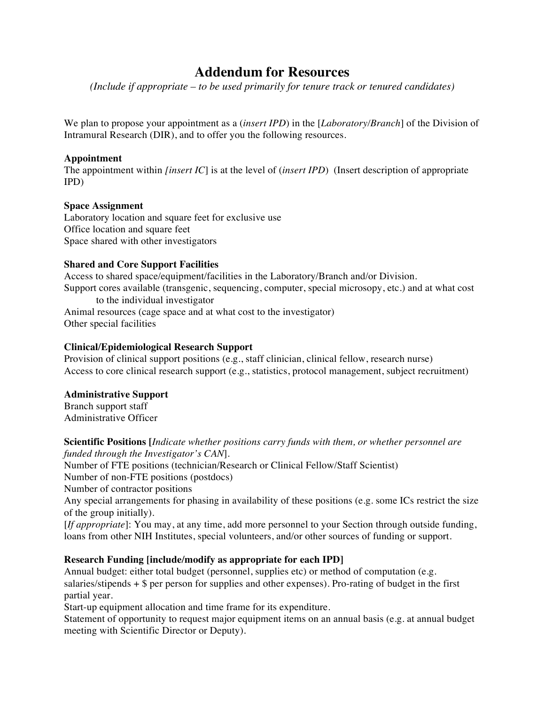# **Addendum for Resources**

*(Include if appropriate – to be used primarily for tenure track or tenured candidates)*

We plan to propose your appointment as a (*insert IPD*) in the [*Laboratory/Branch*] of the Division of Intramural Research (DIR), and to offer you the following resources.

## **Appointment**

The appointment within *[insert IC*] is at the level of (*insert IPD*) (Insert description of appropriate IPD)

## **Space Assignment**

Laboratory location and square feet for exclusive use Office location and square feet Space shared with other investigators

## **Shared and Core Support Facilities**

Access to shared space/equipment/facilities in the Laboratory/Branch and/or Division. Support cores available (transgenic, sequencing, computer, special microsopy, etc.) and at what cost to the individual investigator Animal resources (cage space and at what cost to the investigator)

Other special facilities

# **Clinical/Epidemiological Research Support**

Provision of clinical support positions (e.g., staff clinician, clinical fellow, research nurse) Access to core clinical research support (e.g., statistics, protocol management, subject recruitment)

### **Administrative Support**

Branch support staff Administrative Officer

**Scientific Positions [***Indicate whether positions carry funds with them, or whether personnel are funded through the Investigator's CAN*].

Number of FTE positions (technician/Research or Clinical Fellow/Staff Scientist)

Number of non-FTE positions (postdocs)

Number of contractor positions

Any special arrangements for phasing in availability of these positions (e.g. some ICs restrict the size of the group initially).

[*If appropriate*]: You may, at any time, add more personnel to your Section through outside funding, loans from other NIH Institutes, special volunteers, and/or other sources of funding or support.

# **Research Funding [include/modify as appropriate for each IPD]**

Annual budget: either total budget (personnel, supplies etc) or method of computation (e.g. salaries/stipends  $+$  \$ per person for supplies and other expenses). Pro-rating of budget in the first partial year.

Start-up equipment allocation and time frame for its expenditure.

Statement of opportunity to request major equipment items on an annual basis (e.g. at annual budget meeting with Scientific Director or Deputy).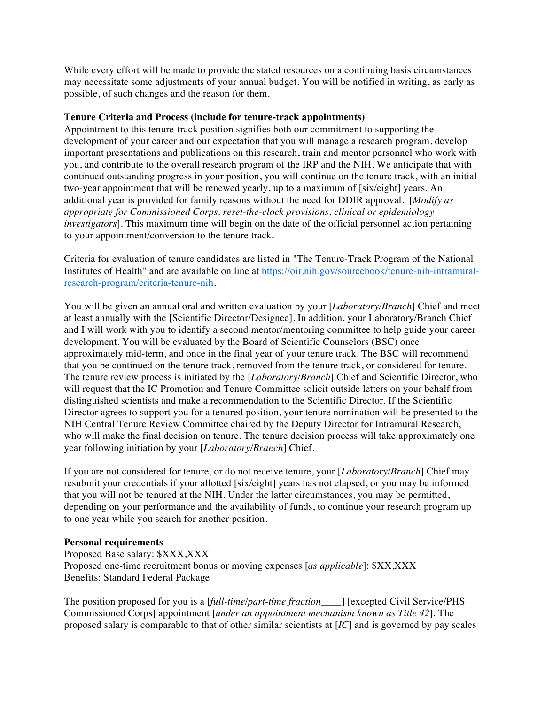While every effort will be made to provide the stated resources on a continuing basis circumstances may necessitate some adjustments of your annual budget. You will be notified in writing, as early as possible, of such changes and the reason for them.

### **Tenure Criteria and Process (include for tenure-track appointments)**

Appointment to this tenure-track position signifies both our commitment to supporting the development of your career and our expectation that you will manage a research program, develop important presentations and publications on this research, train and mentor personnel who work with you, and contribute to the overall research program of the IRP and the NIH. We anticipate that with continued outstanding progress in your position, you will continue on the tenure track, with an initial two-year appointment that will be renewed yearly, up to a maximum of [six/eight] years. An additional year is provided for family reasons without the need for DDIR approval. [*Modify as appropriate for Commissioned Corps, reset-the-clock provisions, clinical or epidemiology investigators*]. This maximum time will begin on the date of the official personnel action pertaining to your appointment/conversion to the tenure track.

Criteria for evaluation of tenure candidates are listed in "The Tenure-Track Program of the National Institutes of Health" and are available on line at https://oir.nih.gov/sourcebook/tenure-nih-intramuralresearch-program/criteria-tenure-nih.

You will be given an annual oral and written evaluation by your [*Laboratory/Branch*] Chief and meet at least annually with the [Scientific Director/Designee]. In addition, your Laboratory/Branch Chief and I will work with you to identify a second mentor/mentoring committee to help guide your career development. You will be evaluated by the Board of Scientific Counselors (BSC) once approximately mid-term, and once in the final year of your tenure track. The BSC will recommend that you be continued on the tenure track, removed from the tenure track, or considered for tenure. The tenure review process is initiated by the [*Laboratory/Branch*] Chief and Scientific Director, who will request that the IC Promotion and Tenure Committee solicit outside letters on your behalf from distinguished scientists and make a recommendation to the Scientific Director. If the Scientific Director agrees to support you for a tenured position, your tenure nomination will be presented to the NIH Central Tenure Review Committee chaired by the Deputy Director for Intramural Research, who will make the final decision on tenure. The tenure decision process will take approximately one year following initiation by your [*Laboratory/Branch*] Chief.

If you are not considered for tenure, or do not receive tenure, your [*Laboratory/Branch*] Chief may resubmit your credentials if your allotted [six/eight] years has not elapsed, or you may be informed that you will not be tenured at the NIH. Under the latter circumstances, you may be permitted, depending on your performance and the availability of funds, to continue your research program up to one year while you search for another position.

### **Personal requirements**

Proposed Base salary: \$XXX,XXX Proposed one-time recruitment bonus or moving expenses [*as applicable*]: \$XX,XXX Benefits: Standard Federal Package

The position proposed for you is a [*full-time/part-time fraction\_\_\_\_*] [excepted Civil Service/PHS Commissioned Corps] appointment [*under an appointment mechanism known as Title 42*]. The proposed salary is comparable to that of other similar scientists at [*IC*] and is governed by pay scales